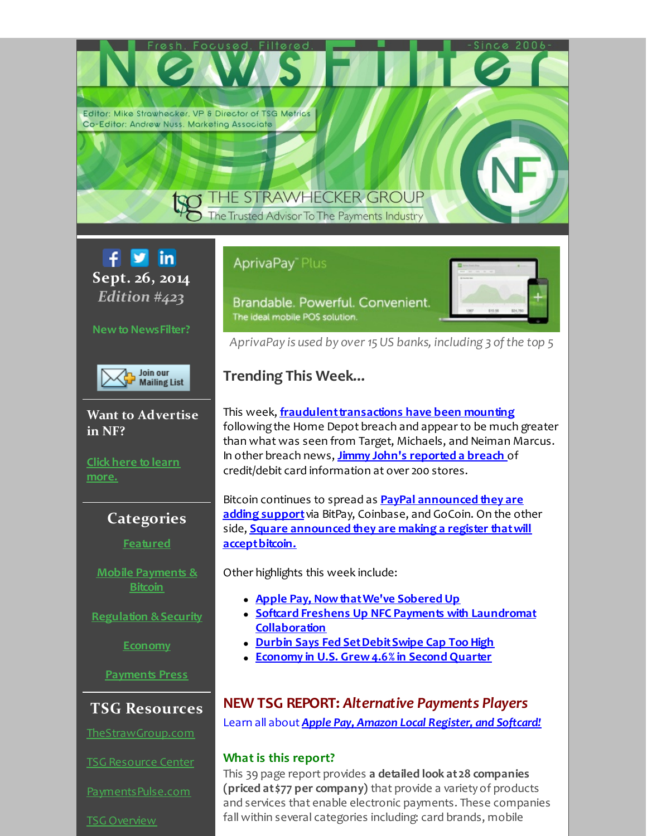Editor: Mike Strawhecker, VP & Director of TSG Metrics Co-Editor: Andrew Nuss. Marketing Associate

# **HE STRAWHECKER GROUP**

The Trusted Advisor To The Payments Industry

**M in** f. **Sept. 26, 2014** *Edition #423*

# **Newto NewsFilter?**



**Want to Advertise in NF?**

**Click here to learn [more.](http://r20.rs6.net/tn.jsp?f=001G1ARuxCIMEYL8pdAKc0bBTnSSsvoOMiOQ8sb8UiTaL_YzORZfLI7buBFd-RGhDIdQg3leuIOqBd74xv3QnBMIZk_n4ywbh-SHVXYcQROozm90ZBPWW9_6uIst2mqILHsLIXpcvFLzRN7-gT55EY7ptowPZaREGZq8alhXXZoD_k033zMT7Dpue8KG15rjGRCYQpZBo_UU1G7vGi8fiudJl-b839ossb0qbitzjEJFGRF0DMv14niR0uioxlbhrPIriwOmPA-Rc9vlUh1QW57Imqcj_utOL5XW1iQOTEnzXBXiIFihez__WhQuvKkoL5JMrXpOUYupASVbEJt5j9MaVayoTe-AXdVJ_lO2gJfCPtu6kUNY_zVXiug1qfyEn0BdNEcDvabF96K-CeePO2Rig==&c=&ch=)**

# **Categories**

# **[Featured](#page-1-0)**

**Mobile [Payments](#page-2-0) & Bitcoin**

**[Regulation](#page-3-0) &Security**

**[Economy](#page-4-0)**

**[Payments](#page-5-0) Press**

# **TSG Resources**

[TheStrawGroup.com](http://r20.rs6.net/tn.jsp?f=001G1ARuxCIMEYL8pdAKc0bBTnSSsvoOMiOQ8sb8UiTaL_YzORZfLI7bop-VjKdObfrOTOxgrt6nIZ1JKOAXwvrBTFPcF-6D61_0XKO6FS3pLzFaf16l5HsKStBPOySr4A3byYaghOaru4QyXyr2v7N3L3kzXblJd4kxl8YhUltEru_WBQ7TmexFDPrLccrIKNGnppK_nsXml9661WNJ-AvHl4cis9KQ-sq66YNdjQbu1VT2LLyci5nxAJGIYQqvq4DBRbCNqO4zJsxyPTS_I65cGsAphEElG3_knYowG9ixdP_4u_bs5s2yvCAf2mAGRjoMenEx7VQXK24YDwf4sHFSg==&c=&ch=)

TSG [Resource](http://r20.rs6.net/tn.jsp?f=001G1ARuxCIMEYL8pdAKc0bBTnSSsvoOMiOQ8sb8UiTaL_YzORZfLI7buBFd-RGhDIdo8IZDiFGSFlPQ-RWKBlhcbvq26xdow6yP0VdmkuSuZ1gFUbBhvR3K-DZ8dGPB0MxiCKPjOKfRBCoUuk6KUEbqr-YJopZBnUsu38kRxElkv5Coytxg3LbdLDqzN_lzz4UzpUngrTdTNDMBsSFGe0Hwf-kvxD-oyVKniROKZ1d-19tFZnzGrJUTOGW9t6k6SdsyEUFx3oFwM2fn2g4Mg-b1VVzo8WWYBW7fQZyNDZzT2mNdozVXT3XL0r8GW--0sf6gMYkbJtmwPsI8vfnvNeDjLuUvUT3Z05GMKlpBxDSNPU=&c=&ch=) Center

[PaymentsPulse.com](http://r20.rs6.net/tn.jsp?f=001G1ARuxCIMEYL8pdAKc0bBTnSSsvoOMiOQ8sb8UiTaL_YzORZfLI7bop-VjKdObfrix2-T8eFhfL808NZLhjKeRDZCDSAElSqsSm65DUkzmdGWxZZkRC_6stGUKePPh28lj1I-fZMIPnDwqE6x4cWg4Qh8ZsDOmxMozKyJ-c3Eh4Yd3aGB2jDeT89U92DHlPjOlpeip_P5-X_rzb5yoMZronJbasIlelbBMcapzUXPA-zLCLzjWiYCEs1Ok84NQ460t7K026K10EmBCZ_nSlj1vSLUI9jirhl0meOlmdwMH5msMgVBePxXMuuqwVFAxtaJu99_Jafb4Y=&c=&ch=)

TSG [Overview](http://r20.rs6.net/tn.jsp?f=001G1ARuxCIMEYL8pdAKc0bBTnSSsvoOMiOQ8sb8UiTaL_YzORZfLI7bsGmnWqGhaxgOy260AqBqVhiuX_JvjANCg1mFW_kTHtAh8qVw1SS03Y6zsbqVtOaN7Gg4tXCP7vJ1eDf5uW842B_qZUH-Kk1oPdrogaM_TUg1Bc6HWRL0jA704GWKrO14Tyt-Cn5-MatSuXP1obP01fEGkkuNSZLinMti-tZufjcg3IKFCtt3K_tfhKaxXeK_TAtS1cCOI-iSx6x6y8loTs=&c=&ch=)

# **AprivaPay**" Plus

Brandable. Powerful. Convenient. The ideal mobile POS solution.



*AprivaPay is used by over 15 US banks, including 3 ofthe top 5*

# **Trending This Week...**

This week, **[fraudulenttransactions](#page-1-1) have been mounting** following the Home Depot breach and appear to be much greater than what was seen from Target, Michaels, and Neiman Marcus. In other breach news, **Jimmy John's [reported](#page-3-1) a breach** of credit/debit card information at over 200 stores.

Bitcoin continues to spread as **PayPal [announced](#page-1-2) they are adding support**via BitPay, Coinbase, and GoCoin. On the other side, **Square announced they are making a register thatwill [acceptbitcoin.](#page-2-1)**

Other highlights this week include:

- **Apple Pay, [NowthatWe've](#page-1-3) Sobered Up**
- **Softcard Freshens Up NFC Payments with Laundromat [Collaboration](#page-2-2)**
- **Durbin Says Fed [SetDebitSwipe](#page-4-1) Cap Too High**
- **Economy in U.S. [Grew4.6%](#page-4-2) in Second Quarter**

# **NEW TSG REPORT:** *Alternative Payments Players*

Learn all about *Apple Pay, Amazon Local [Register,](http://r20.rs6.net/tn.jsp?f=001G1ARuxCIMEYL8pdAKc0bBTnSSsvoOMiOQ8sb8UiTaL_YzORZfLI7bq8r94S_4gPeGV72J4X9vLTPCqgxG34018qydim3efBhIuno6VaL2QtwsPf_axHcYXQoRwM_IatRAYcZTAeo55xuXg9gvEnTpweuOGx7iX32XDZRLnO8ZCGymXQJGDoaXGv1HmS0ahvfzDI0BWbjBFODF1dn8WqvrTSf0WUmG0wY9CXXBDTLPLq_jBUZhCCVuhVVuYYNOdNnMHhpL37AlR0=&c=&ch=) and Softcard!*

# **What is this report?**

This 39 page report provides **a detailed look at28 companies (priced at\$77 per company)** that provide a variety of products and services that enable electronic payments. These companies fall within several categories including: card brands, mobile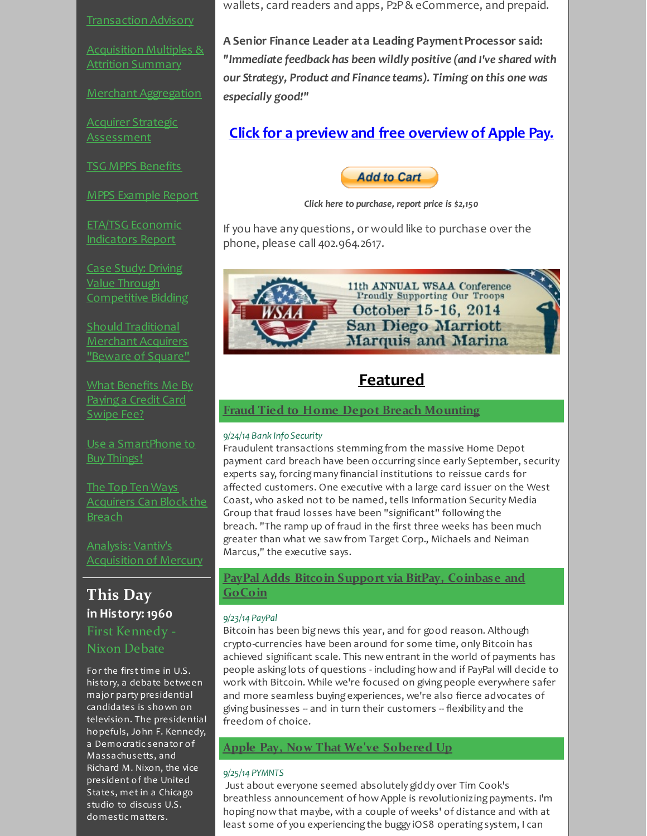[Transaction](http://r20.rs6.net/tn.jsp?f=001G1ARuxCIMEYL8pdAKc0bBTnSSsvoOMiOQ8sb8UiTaL_YzORZfLI7bht_P05FUrA3BWO7ZxUSd9FanO-IjDE4J7sB7m3JO_wUqr52a0TCVv9iPoj8U2qWMmciNyXmGafyE-4xdeYOz-9NtJu67IXf6lDZgnMGDBIYp4psEutotMAJGnPClxOqZGZH7M3bUiZZ-_i-DeAZR5lqAuoikp4kC7iHEevUBwa8y0r8ODSxSyd6RuFtPyWjOzpnJt0fdXDv&c=&ch=) Advisory

[Acquisition](http://r20.rs6.net/tn.jsp?f=001G1ARuxCIMEYL8pdAKc0bBTnSSsvoOMiOQ8sb8UiTaL_YzORZfLI7blZCgLa-fmjsJu1Zc2WplVYy72QtJG8Zq2UDRitrDKEvEFEVqYWUX0j6wspyEPLIZfRh_ynz6JkQOpyrpM8yfHofJQot9iKdhpzeDbapbFFR9RL2XoPLkVaV8XFQz3Ztm5uI0574nvUzpbLUvbcjM42N6ThmHnwmMPlEJnYSwEs79lvb_QaUy56iTr7regPNsvl7ZfeenGMf&c=&ch=) Multiples & Attrition Summary

Merchant [Aggregation](http://r20.rs6.net/tn.jsp?f=001G1ARuxCIMEYL8pdAKc0bBTnSSsvoOMiOQ8sb8UiTaL_YzORZfLI7bsGmnWqGhaxgHX_ZXvVgMUZsGTXfbKjbAx9_ZjWIELXLxnPmiGdlWCw9N3GeB4jcYoKmuc8Tu_AVBHH7ntKkCSWNG9zCUdC8H6YsxeZ1RrQZS6B86-d5wQctd7nZyd0FPvJZQIOISbi4rRw7CsNgz52eVS4A1E6-YP8Zjsb-lpJKZ5YmM5ecNhLinpaM1uOMAJko9SeIXSyV9FBYO12ivDo=&c=&ch=)

Acquirer Strategic [Assessment](http://r20.rs6.net/tn.jsp?f=001G1ARuxCIMEYL8pdAKc0bBTnSSsvoOMiOQ8sb8UiTaL_YzORZfLI7bhpHd6XGiQHIFKAk8ybVZqZ9P5LRG2nuDmnaTExx-HQS2qPxHlOZKwKklEueuB-F9mTG9e7I15qEu0Qcz0gA8v2lu_1-vzv1k7XIZm9XTXUo2Iz3XMXCNGiaXAjYpfTpY9dtjfvkjn2TSMSCYREyagXOkCk9TgWSeeiinQMPKNvK1zcM_EP9qg-rHp5IOzHXIf2MTjjkjwzno_jyig03CG4Da5oArJUu97vA-EV8IkYrZaXRbPfq-eLEttd0yX4lVYlEzCtBmJ8gk_Nv_moN0zUN4M9tjs7ZbZApx32H3icydH0Byjgvy0elQ5CBrQQBS8diOHUyFo0_C4CVzNEgmhFFYxJ6wvsfwz-CYuO1SHqpcVEFpzJd8m0=&c=&ch=)

TSG MPPS [Benefits](http://r20.rs6.net/tn.jsp?f=001G1ARuxCIMEYL8pdAKc0bBTnSSsvoOMiOQ8sb8UiTaL_YzORZfLI7brtVwYwzRu7vFQ7VAwB3zyXiYV_IS69Qgo90C2968m6_bM7CD-iNgFropkylBdotPKPNKnlbKVEluR-awXFTYjGJ8PzJLqcDirSUsTSj7gEdtaVbTbf5gcmxoXZEQOMbW36s3N0pWbiocpR1f8N1tekcOcgLyiR-tROWb5T5C9Lq-t8dfti53CZUTG8mzDSk7_BR15uyh29QoxqcHnRagp4=&c=&ch=)

MPPS [Example](http://r20.rs6.net/tn.jsp?f=001G1ARuxCIMEYL8pdAKc0bBTnSSsvoOMiOQ8sb8UiTaL_YzORZfLI7brtVwYwzRu7vMCSCZgt-hRxBdV4FKFj8lIKIS2tATcqGePXAdNSTsI7BQhYhPqd7hIPG4iA1Eut7pKeZ2JIqrAozuxIyMW1SUE0CA4XjYiI2TmfLpHW6knm091jy7TREyF8iX3X_IbhCxzTC4srqX7NW5MvCgps0MVZ99KJioNW5bm9ZDS3zoFCMWTmCksqBhGP_nizckFqo3r1ZOhKoOoI=&c=&ch=) Report

ETA/TSG [Economic](http://r20.rs6.net/tn.jsp?f=001G1ARuxCIMEYL8pdAKc0bBTnSSsvoOMiOQ8sb8UiTaL_YzORZfLI7bihy3KTjizv5EJtXdl7EeQqGh5U00qelZOH9AqDpY3DNl-NqzIOud7EOKPX1Y6X_ryHCHV5wr645e1gErEUDsyFRg_JtjM6Ul5rTwKDHj5V-Jakosla6d4tQ9AE26m_8FAzj-f2Lh80A9TAEAewHrmPRlfdlG9ox2ckyoMdcO3bTe4e6sb9auIjTxObdfwFKFZsEqI8OUnsCplIYLQyptGM=&c=&ch=) Indicators Report

Case Study: Driving Value Through [Competitive](http://r20.rs6.net/tn.jsp?f=001G1ARuxCIMEYL8pdAKc0bBTnSSsvoOMiOQ8sb8UiTaL_YzORZfLI7bhpHd6XGiQHIpo9mTNnva1B9RjOwRIDzXVSONE8hSxfCVZ_0VFlToJ7rWAQXBuNTr6PyQaQGFHaxdtCS1HoM9pHwGgyDxB71eS7W5zsIyK86bT7Oge1BcVmoPv7uk1mmSkUIy-DE41SoOauFLcvNFRWJbAUzJfet1KlqpgQEMRaegoeuZcebkfukrTY7e42qtqoL0FEHSI8W7XvC8MBpe4IHxCSH3Z47ZHMDHYyFQJIlZzI5S6rAZz_Q3yZ7qgYCxckFXgXQOi08eA5W7oXW3EW_GrXEBc28PCPLxN9npf1iaPug0rCRvm12b1gDjqGKaBNsrD65Br6mnPJ9kk1uoXV8BE27y0BexP6fB3fsc1ZZKHh3_XRP_0-iLscrRBqZyVYwxgTGwGEaAwixo_xWHUI=&c=&ch=) Bidding

Should [Traditional](http://r20.rs6.net/tn.jsp?f=001G1ARuxCIMEYL8pdAKc0bBTnSSsvoOMiOQ8sb8UiTaL_YzORZfLI7bhpHd6XGiQHI526QsNCUavyKMRlTSgOQjcAED2qmNwkqnfI1HTkLHX1QE4sxb6IH3Ce_16wYWJc9THNp48VzKdGBB4g0LXje7Kqi_-p4uk06OqsPbpHvfzJJpz3Jvh_hnHrWx9bSLddFUum9xVpY4KJvXw6rmFU8oy5u1VeOTmfONM2kErjdYn36w-EKCbSYR0nyAQ-uJTDmXiHI84QKhvBAmAFKm4evGWHnHdfCKSh85sg5LTghxQtfgOKW4NMjNpmC7ufNtoM_DDnGg-dHH3kC3qJtLBCrnAeTIKFlP5OOLsuQDE7XL12khP8NoY-Q0JldxOyBSBQef5CgqDf_UXyYmxccATATKhqYSUjvPdJJ&c=&ch=) **Merchant Acquirers** "Beware of Square"

What [Benefits](http://r20.rs6.net/tn.jsp?f=001G1ARuxCIMEYL8pdAKc0bBTnSSsvoOMiOQ8sb8UiTaL_YzORZfLI7bhhp6MFeonNrvnwkLibW2uYO9hWS8HT0H8H3qBFHC56b9-G3ks7HQxgrv7Cefg8C0hTPCeD2bqbD5jcSocj2uhCnf61r7AXxgyuugZ1C4X80A7JrLBSYpTDsTNpy6V25ULhGdYxYQKf0Qgx5byyR_PqngK4n1XK1bEPj7FNWGT9ptkSqnKkt3g4jff9IE4HDFLDJbbtjnCi1&c=&ch=) Me By Paying a Credit Card Swipe Fee?

Use a [SmartPhone](http://r20.rs6.net/tn.jsp?f=001G1ARuxCIMEYL8pdAKc0bBTnSSsvoOMiOQ8sb8UiTaL_YzORZfLI7bntp48bH6uF1gnqNz5H3pFiVQlEmaZk_JD75PrtuHbwHywSd_6r1rcdDcbyuhx_9kkFxD92i_MdnefhA7BEP6BUH6ZguFmI1idCIVUCe0Ciow8Zuocji0jAyY5zAgCJt582arD9AUwmAuf0ijFuAvhs1OhQcWEigR_IMPfaUof2udE_YfI8uAl2PRZ9RJF4DJtO5XDC1jXwO&c=&ch=) to Buy Things!

The Top Ten Ways [Acquirers](http://r20.rs6.net/tn.jsp?f=001G1ARuxCIMEYL8pdAKc0bBTnSSsvoOMiOQ8sb8UiTaL_YzORZfLI7bihy3KTjizv5DImu8Isg2Rhh3fendyah2GAgAS1Z3Mp63LuaurgSy9hX8S425WeSbw0y6YAp_eOe7GlsAe0s5uySPUlMLmVhkcwyTKqoZzhsWl_paCzAet-tpJMpa4dU1jZn2cjHAHFs0UxI0LoLZbhaT8iSWFJvc3cbBfaO28wbT7_oQIPz219Klc62Cp_2w-_SnznXKfy4dJ3IjGbKPvA=&c=&ch=) Can Block the **Breach** 

Analysis: Vantiv's [Acquisition](http://r20.rs6.net/tn.jsp?f=001G1ARuxCIMEYL8pdAKc0bBTnSSsvoOMiOQ8sb8UiTaL_YzORZfLI7bp-4Qi_yXcBg8Z2qcXFEoTqYZ0if80460c1Osv4Weozj_T0yXEcp9_Fuv8IO74c9Nxluvi6DjOrmvcaVhp16ccp96iHamopO8IV5ng27KEMNNuPM1CP17iJ4H0jj4L0p2yl0cfr0s8iCayUKg9NJet7wXip3yJiG0wgjqvFdkNQ2FSjmbTMPA1VFjgusSq4wAhYddeN021IEaUJl1JrXBGs=&c=&ch=) of Mercury

# **This Day in History: 1960** First Kennedy - Nixon Debate

For the first time in U.S. history, a debate between major party presidential candidates is shown on television. The presidential hopefuls, John F. Kennedy, a Democratic senator of Massachusetts, and Richard M. Nixon, the vice president of the United States, met in a Chicago studio to discuss U.S. domestic matters.

wallets, card readers and apps, P2P& eCommerce, and prepaid.

**A Senior Finance Leader ata Leading PaymentProcessor said:** *"Immediate feedback has been wildly positive (and I've shared with our Strategy, Product and Finance teams). Timing on this one was especially good!"*

# **Click for a preview and free [overview](http://r20.rs6.net/tn.jsp?f=001G1ARuxCIMEYL8pdAKc0bBTnSSsvoOMiOQ8sb8UiTaL_YzORZfLI7bq8r94S_4gPeGV72J4X9vLTPCqgxG34018qydim3efBhIuno6VaL2QtwsPf_axHcYXQoRwM_IatRAYcZTAeo55xuXg9gvEnTpweuOGx7iX32XDZRLnO8ZCGymXQJGDoaXGv1HmS0ahvfzDI0BWbjBFODF1dn8WqvrTSf0WUmG0wY9CXXBDTLPLq_jBUZhCCVuhVVuYYNOdNnMHhpL37AlR0=&c=&ch=) of Apple Pay.**



*Click here to purchase, report price is \$2,150*

If you have any questions, or would like to purchase over the phone, please call 402.964.2617.



11th ANNUAL WSAA Conference<br>Proudly Supporting Our Troops October 15-16, 2014 **San Diego Marriott** Marquis and Marina

# <span id="page-1-1"></span><span id="page-1-0"></span>**Featured**

# **Fraud Tied to Home Depot Breach [Mounting](http://r20.rs6.net/tn.jsp?f=001G1ARuxCIMEYL8pdAKc0bBTnSSsvoOMiOQ8sb8UiTaL_YzORZfLI7bo27y3AogNv6g7bM_NJvp_6Z3xREgc0VyNChCyLUWZiEN8WPx-wLhRirx-6acDlVx5SUVoYNCk4B8TNuNvjIqwBwnXCP2vsZW1T9YkBd6vcBN7uVUKIXJP98xC0zXF70Avw_5D-ENfm_B69iwXy3lCamnKldBqSdxsrfADt8604TWTxhPfxcpXyZO0E6fpBX_jKvnZFJMwTjRj_9RQNsICZxT5af-pb7SJYzGFPcqQQedtTs_x5VVGdqr52TKlgwaJcSYu1EJHsIz06p-FARBg0yegT4ylolA6KtEj5FnhmNq11U9lSbdFNoXon4ipIhpySMjXtfY3QpUua33501V2whuNcwZWqjdQ==&c=&ch=)**

## *9/24/14 Bank Info Security*

Fraudulent transactions stemming from the massive Home Depot payment card breach have been occurring since early September, security experts say, forcing many financial institutions to reissue cards for affected customers. One executive with a large card issuer on the West Coast, who asked not to be named, tells Information Security Media Group that fraud losses have been "significant" following the breach. "The ramp up of fraud in the first three weeks has been much greater than what we saw from Target Corp., Michaels and Neiman Marcus," the executive says.

# <span id="page-1-2"></span>**PayPal Adds Bitcoin Support via BitPay, [Coinbase](http://r20.rs6.net/tn.jsp?f=001G1ARuxCIMEYL8pdAKc0bBTnSSsvoOMiOQ8sb8UiTaL_YzORZfLI7bo27y3AogNv6vZFCBv5-ojSMzu4BMmb6g8tQa7fPXmZB4lam9u4Cykr7lhjd0AeI_EgtMGuIGkethqRuYAwuHhsSVcE5iKbnZ3wurMfc76i_2lca3MLlmckIv3f8xRYtu4nIWGwM90ApF3SzMxcyUeeGa-5ASNeOsvWW2D6y37YNMmvWFx-M-GG4DYW1nSNT3h3XTxy7zFnEdJcvPz1OqqoC6c4Awe-pn9phX1c48n8Dr2e1hAEYhOSWZ0xLLmpfFjPQeqPse8mTBiMCxKo95YQONqi_NHcwxVfkYP9dcu4bREQhhYtxl8NoccIlyANaPaRHCpUBpFPATJpAbvc_U9tyBkrWtnzkJJyXwy25g5mPTiyfYf9jsW673gBTHIDnjw==&c=&ch=) and GoCoin**

## *9/23/14 PayPal*

Bitcoin has been big news this year, and for good reason. Although crypto-currencies have been around for some time, only Bitcoin has achieved significant scale. This new entrant in the world of payments has people asking lots of questions - including how and if PayPal will decide to work with Bitcoin. While we're focused on giving people everywhere safer and more seamless buying experiences, we're also fierce advocates of giving businesses -- and in turn their customers -- flexibility and the freedom of choice.

# <span id="page-1-3"></span>**Apple Pay, Now That We've [Sobered](http://r20.rs6.net/tn.jsp?f=001G1ARuxCIMEYL8pdAKc0bBTnSSsvoOMiOQ8sb8UiTaL_YzORZfLI7bo27y3AogNv6uKmdN7lqWWjGTQOvoVUHYhEQiS6tahQ7ZWLEEDutOHef2eD7KAfJjCXYpSDVJX0gwcy1vDwR0-vehnkzqqmEY2PFhGrhxeNjEyvIU3mYBN7iDovhqk41o9wWwZz2ellx-2sO9oI5jaWEkUhjaOo-ALfrzrXQbH8t4cZaSLaN5hBO3VjOGhlK3MGzW1rGPBsI8tbVk4zmYbymJ3ahtfg80zBHka9VL9A5Y-EbLr1ikqhHS4rh_iCoqNLXjNaIfnc3KCpdkGlGAaVUItlfp2gkfFRsFkRYSA0imjj1GXh5cBW5PGGgq-MolXF6rQaezHXWLA8ZCKrYmK6bY1xyLfucPeY_yUqmrL8h&c=&ch=) Up**

## *9/25/14 PYMNTS*

Just about everyone seemed absolutely giddy over Tim Cook's breathless announcement of how Apple is revolutionizing payments. I'm hoping now that maybe, with a couple of weeks' of distance and with at least some of you experiencing the buggy iOS8 operating system, I can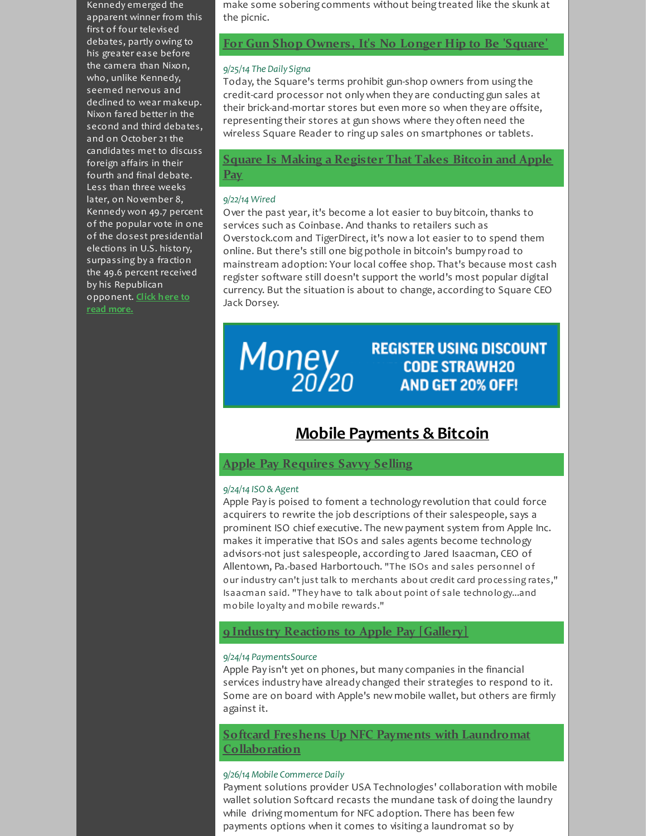Kennedy emerged the apparent winner from this first of four televised debates, partly owing to his greater ease before the camera than Nixon, who, unlike Kennedy, seemed nervous and declined to wear makeup. Nixon fared better in the second and third debates, and on October 21 the candidates met to discuss foreign affairs in their fourth and final debate. Less than three weeks later, on November 8, Kennedy won 49.7 percent of the popular vote in one of the closest presidential elections in U.S. history, surpassing by a fraction the 49.6 percent received by his Republican [opponent.](http://r20.rs6.net/tn.jsp?f=001G1ARuxCIMEYL8pdAKc0bBTnSSsvoOMiOQ8sb8UiTaL_YzORZfLI7bo27y3AogNv6LQeNosxE2LuTRdql6VFza6NQs0Z5_AVzB-LZiFm972_42qGz8CcZ0dZ8CewwIeQAaJqEfHqMG9bSUC-ANGaX9GA3qmG8VGo7zPYWmrmIhWgmXseafBoYCDo1CYwOuDvZ1RSjMtIiFvYC1sWRI-E4C3ZE3H_BGMdYBFUBNfNOTrbnE7GozpA1eAUS-pZ-f4D1g4XzvkTyp5N3mbyG4ZcdHpMbM2wWAHk3ZWKvFe3AKSXAYzOh5EF0A4ojeiYnMdwZ5riSU-aQn5wNxO8cC3hjFAMHb-8uFXyhl4fFYuOtUpb-SeRPseAqRZupwph7NRu5BXcZLivRwvc=&c=&ch=) **Click here to read more.**

make some sobering comments without being treated like the skunk at the picnic.

## **For Gun Shop [Owners,](http://r20.rs6.net/tn.jsp?f=001G1ARuxCIMEYL8pdAKc0bBTnSSsvoOMiOQ8sb8UiTaL_YzORZfLI7bo27y3AogNv6kCciWYfyXr91Wcc_y0s0tJuSVItHy9uvPf8EnAAw0XuhlwQMUS-itottcu1ECnDMGyA_hzV5rurF59TySQIkShsa6osCQHRXdWlduRQ1fhuxItkpLkMysBg2iW--vTPewXoFogV3aXtAU2gPYuEmIQphQVTXs-qunviplqFRU7shFjBYykGClmNMFzWEVp49dHk48NV6RxA4raaWwiXWj-AN_SOjb2fWtuSxtFbwFEjYRQM7Wdbjffh0Iel16sUfHA4rUDBMHOZN2MCSfqzajoCU7OLUTDHxS0H690Rebo1BksL-0tW0Nj-8IZXUSLYpX_ed2SP5QD42OyZX2ZjT6g==&c=&ch=) It's No Longer Hip to Be 'Square'**

#### *9/25/14 The Daily Signa*

Today, the Square's terms prohibit gun-shop owners from using the credit-card processor not only when they are conducting gun sales at their brick-and-mortar stores but even more so when they are offsite, representing their stores at gun shows where they often need the wireless Square Reader to ring up sales on smartphones or tablets.

# <span id="page-2-1"></span>**Square Is Making a [Register](http://r20.rs6.net/tn.jsp?f=001G1ARuxCIMEYL8pdAKc0bBTnSSsvoOMiOQ8sb8UiTaL_YzORZfLI7bo27y3AogNv6xaPzbm_8J0n0rnrw5V4lyPGDeTb8-xaIKNjUSNo3sz77A_pgXmQJsy375y-0tMuOfixreOBWbNPniW-HXaw36Wkt6d-58ivA3AA3oT7Tl0LuZv_zlnLVFjK71gokQLT7g6Z-9KxmajF50oFB1g0S0Ee-pdzZNtvktrC4ZyFUeBimX57P4cHtzF_ZAqQRtjAXobPC1yjmA3ctSKXImMHLybZ2X4wWtFfDnIim67wmgYg_dCqOAlhZaBiwOC8book8fgOn6iDLNHdU0jZ1DRGPFhRKQrQKqWBvs8mORzf5Zhcuyz_5CbfRsg==&c=&ch=) That Takes Bitcoin and Apple Pay**

#### *9/22/14 Wired*

Over the past year, it's become a lot easier to buy bitcoin, thanks to services such as Coinbase. And thanks to retailers such as Overstock.com and TigerDirect, it's now a lot easier to to spend them online. But there's still one big pothole in bitcoin's bumpy road to mainstream adoption: Your local coffee shop. That's because most cash register software still doesn't support the world's most popular digital currency. But the situation is about to change, according to Square CEO Jack Dorsey.

# Money<br>20/20

# **REGISTER USING DISCOUNT CODE STRAWH20** AND GET 20% OFF!

# <span id="page-2-0"></span>**Mobile Payments & Bitcoin**

# **Apple Pay [Requires](http://r20.rs6.net/tn.jsp?f=001G1ARuxCIMEYL8pdAKc0bBTnSSsvoOMiOQ8sb8UiTaL_YzORZfLI7bo27y3AogNv6H4VPWWxFzkMwiYV1b1liiCnXDkL-a0FMz4Ekw0vv2tRRuGTwcoU0mXThms298seAGjSszm-mOjqFZDgJdTMCWgtIEOV4n9TpPXyxqSiNW8Tn6Fx4LWKngFpzkxmYigUSNDLIFFmpu26QM2A8JQ134jcJdrMZwH9gG7Rj1J0YrUBLwCeFv-f7KUm5Bs0Fxb0WucfSkfYP1vcGMxHnrNLZbCWCFTAsh_FWBtwCDrkMZPWZ--HHd3O7g32NwdAp1Ky3aQgvg8CF9q-QeMAjN0EsNnmnVYxb95J1Y0yd-77Q1X7aayF7SehcjDS6K7RXN6n1Qvt4Yi_PF1X7OAierhbKX9fEm_1V8Jvabq5F9FNlC9Ne0-h15WD6Ow==&c=&ch=) Savvy Selling**

## *9/24/14 ISO & Agent*

Apple Pay is poised to foment a technology revolution that could force acquirers to rewrite the job descriptions of their salespeople, says a prominent ISO chief executive. The new payment system from Apple Inc. makes it imperative that ISOs and sales agents become technology advisors-not just salespeople, according to Jared Isaacman, CEO of Allentown, Pa.-based Harbortouch. "The ISOs and sales personnel of our industry can't just talk to merchants about credit card processing rates," Isaacman said. "They have to talk about point of sale technology...and mobile loyalty and mobile rewards."

# **9 Industry [Reactions](http://r20.rs6.net/tn.jsp?f=001G1ARuxCIMEYL8pdAKc0bBTnSSsvoOMiOQ8sb8UiTaL_YzORZfLI7bo27y3AogNv6G7TYFXggDDfB0EbUTMfXKttXMFbJOg50viAGwkQ16gU8sQEk-fz2GVOhJ4f96MKWw265SAcH1uCB1qhpwjnVHzZmkWkGaPsw_FZys_eboFROfsDZnwUFO9wfZpkDEeA1pAceill88Byx_-6bIK9Cf4eplZnmbAAs2tq-VVHskPzFJfv-j0zgf04AOjH5vaf7Zp3husqmk5QoDiBSLRrzqt5dn1SM6fdVPyhppGd4OrOamgBOBe0t4DBOhZ7VtYpkgLxgeNyFezW3cmGiV90hMOfQXNDH4vnmEBb2I9-b9CQrxx_DtSjQzAyH7xIZwcl0JgGQ4NOwciD4_shw1nC2c2TFAyTomHEl&c=&ch=) to Apple Pay [Gallery]**

## *9/24/14 PaymentsSource*

Apple Pay isn't yet on phones, but many companies in the financial services industry have already changed their strategies to respond to it. Some are on board with Apple's new mobile wallet, but others are firmly against it.

<span id="page-2-2"></span>**Softcard Freshens Up NFC Payments with Laundromat [Collaboration](http://r20.rs6.net/tn.jsp?f=001G1ARuxCIMEYL8pdAKc0bBTnSSsvoOMiOQ8sb8UiTaL_YzORZfLI7bo27y3AogNv6QAC-ANeZWANj_SgcVsOwfTzjBlXqPYss67oIyNb-CAgghBDGw5qBgszIoWG13aAEQ9Mp4kOciuVzCuLLa21GNzxs8PEzoWdi-o2MVqE1ex5j0Ld09ue9k21tLA7I4dHKxpR3xa3TK4pLG8CAwhqI_u_fE2BiW1pJrE8vsYCd2Sd3UQaeHz90C9FJGz5k58TmYJP8HWQyDuBkyffo-iM6iqIjIYwxWZOtAGWi8l4w9cGoF6Src3JFkbCh9PV7LU8S5TdA_l15qnAXG0_9OEqJh40aIFdHzA0AsmLkBteQrJzx2Oz821OFmKfNbTCT0SNFxW-8ukS_2kuNVvyeVlZ66jRz7toimqNU5hBOsCox0ENXyk7W8mCD8w==&c=&ch=)**

## *9/26/14 Mobile Commerce Daily*

Payment solutions provider USA Technologies' collaboration with mobile wallet solution Softcard recasts the mundane task of doing the laundry while driving momentum for NFC adoption. There has been few payments options when it comes to visiting a laundromat so by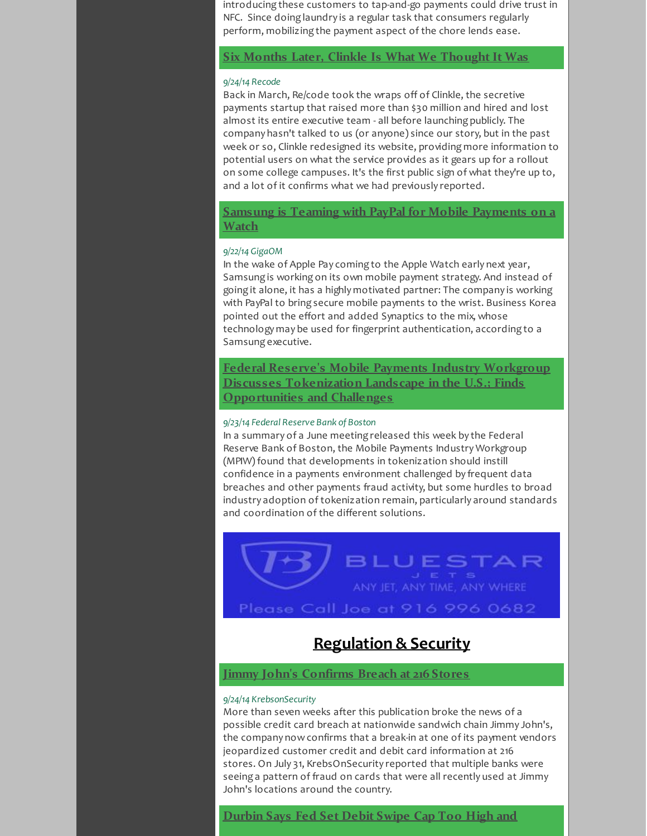introducing these customers to tap-and-go payments could drive trust in NFC. Since doing laundry is a regular task that consumers regularly perform, mobilizing the payment aspect of the chore lends ease.

**Six Months Later, Clinkle Is What We [Thought](http://r20.rs6.net/tn.jsp?f=001G1ARuxCIMEYL8pdAKc0bBTnSSsvoOMiOQ8sb8UiTaL_YzORZfLI7bo27y3AogNv6BmnWTbLc8Q45pX1wJM5m5_KvnZUVBf2GveiNdYrPRjWV_OK1z_Nq3lXzqerW8R68b8Wii3kRRCFTDoY06_0NeGBvnxhRIrVg7fiLpRbZkBHdZKtzi0ubJsWpi-1zAZIeCdpSpkw34wE7vA7FmTi8NE5I-xYOlXXP2NNmjQUNXc2Q-IdMXtfloOefu4yp4cSeAw7pMYOiPE8JZwgxGxJT3w9GEYQAGEGQWXi6Mght5zqtIoRLytA9MTx5qnDkWZIchzS5DVdQvNp3o6vFIaNvmsD6AwgEFEaMHkL4YBTQvUx4xnxcp3NxnNqsVACju_YsAuKwDMclYYA-bGGPfTsFWsP8xmGZ66pm&c=&ch=) It Was**

## *9/24/14 Recode*

Back in March, Re/code took the wraps off of Clinkle, the secretive payments startup that raised more than \$30 million and hired and lost almost its entire executive team - all before launching publicly. The company hasn't talked to us (or anyone) since our story, but in the past week or so, Clinkle redesigned its website, providing more information to potential users on what the service provides as it gears up for a rollout on some college campuses. It's the first public sign of what they're up to, and a lot of it confirms what we had previously reported.

# **Samsung is Teaming with PayPal for Mobile [Payments](http://r20.rs6.net/tn.jsp?f=001G1ARuxCIMEYL8pdAKc0bBTnSSsvoOMiOQ8sb8UiTaL_YzORZfLI7bo27y3AogNv6EpAKPqCq6NzdB4vOgaHGFkdlxSw0Snop3wvz2wrCPZwHfjkQMpS3gat1gdaqXMfRT34N_Q2bJcwjvVPO8g3gfy3ak5FeL7-h4Ruwiz757fnALWm9iTC0mY5klfyldbyhdXunUS_5CCj2CTDPTM9X9WykTzzVIzJmpC-iQMZRUL0t-MGRGEDvD2zMPC65dsmhhO3Se7B_2FauLsIWgVSFsQ7mDS_FO6Vus7wZzyNtiBEXEAtsyqdgVrOmIb3IhbVjD4bociqlM0zL8tRKrYWJ8lml3T7biGVQq9jDAz0Jl5VrDE66G_Y5v5Z1rV3kyDCEJacepAfK3SjLSi2VJ22AZYkqHU3SdUrcwYLqcv_nW-ngWBttoMJqew==&c=&ch=) on a Watch**

#### *9/22/14 GigaOM*

In the wake of Apple Pay coming to the Apple Watch early next year, Samsung is working on its own mobile payment strategy. And instead of going it alone, it has a highly motivated partner: The company is working with PayPal to bring secure mobile payments to the wrist. Business Korea pointed out the effort and added Synaptics to the mix, whose technology may be used for fingerprint authentication, according to a Samsung executive.

**Federal Reserve's Mobile Payments Industry Workgroup Discusses [Tokenization](http://r20.rs6.net/tn.jsp?f=001G1ARuxCIMEYL8pdAKc0bBTnSSsvoOMiOQ8sb8UiTaL_YzORZfLI7bo27y3AogNv62Sk04djGaKYTe_X8zh_tdwuD-a6jM14qv5TtB-55NGZzG5XWhR06bYE9o6jDiW6ZPEi0U8mbp9xF9MdV9fI22tXqJeq1dyxAICErmyH5J394P8guQOelT9cBJru-PFlKyQfmqkPvgnGO1tAp-6NWNX2ryg7Jn7CvVfzEgvg81kkDh9Q8EJQSmuyT_bMiRMMK1anZKGJXxArOIKBnhaxSw-tIawhqOtCCEkrnbiNxo_7OUoTyX1CB3L7boqdkZEYmRFNUZ1ubI3InFbf5YL5_hF9T_grIOT5b16hZZ0dXf6BzZU9BY_HIEg3-hCWRxmSAiGGqiD4p7slAnFrJUjv42xI49zdiBK7xR8doJRb7vjigOVdApUSR4g==&c=&ch=) Landscape in the U.S.; Finds Opportunities and Challenges**

#### *9/23/14 Federal Reserve Bank of Boston*

In a summary of a June meeting released this week by the Federal Reserve Bank of Boston, the Mobile Payments Industry Workgroup (MPIW) found that developments in tokenization should instill confidence in a payments environment challenged by frequent data breaches and other payments fraud activity, but some hurdles to broad industry adoption of tokenization remain, particularly around standards and coordination of the different solutions.

BLUESTAR

# Please Call Joe at 916 996 0682

# <span id="page-3-1"></span><span id="page-3-0"></span>**Regulation & Security**

# **Jimmy John's [Confirms](http://r20.rs6.net/tn.jsp?f=001G1ARuxCIMEYL8pdAKc0bBTnSSsvoOMiOQ8sb8UiTaL_YzORZfLI7bo27y3AogNv6HpUn53B8NnybVXIXrju8IyiNiW44t2n3m55hf38fshLz59NzZMgFn4hUEEN2fOM6XTd0Fz8SWsRqJRMXGGs3-RpJrH84Dq9aY5Iis2pZMdQVe8xXm5lJn-hCKDDPIFAGdrAs8zeJL72QcmgtwK_zjy3iWHkabAinEt2ZtqpPuJ-pAi9t2XNpYGTmGOrO3RM-lcjEsGsATaMHFl-b3wSUObvDKKK6R044iwKgVQhTRwBPybk8zGxhpMOhRspTKuYL-fUfUt2PcXYK1h8cAilRr953oaPdhPHI4nDn_RzkHvMNwEA91zVnfP0bw_M4gVU7-4tG8Ad0NoGdpNR-syOIG0vN53bE7Lk3&c=&ch=) Breach at 216 Stores**

## *9/24/14 KrebsonSecurity*

More than seven weeks after this publication broke the news of a possible credit card breach at nationwide sandwich chain Jimmy John's, the company now confirms that a break-in at one of its payment vendors jeopardized customer credit and debit card information at 216 stores. On July 31, KrebsOnSecurity reported that multiple banks were seeing a pattern of fraud on cards that were all recently used at Jimmy John's locations around the country.

# **[Durbin](http://r20.rs6.net/tn.jsp?f=001G1ARuxCIMEYL8pdAKc0bBTnSSsvoOMiOQ8sb8UiTaL_YzORZfLI7bo27y3AogNv6VL0A7kACSbK1jLyRNmsZtWhNuW70xWj7cFig7T_CKBUasBXeUyC7N_b1iOogPHYONH33gzDgaRxCqjsO9sCgFE8FB4rUIG_0ZI4oFd4BUEZrKl8kFosPDzR5yhJd2o2LxhZ9mUaB7CJ44ORfpJ4pTQIx_BrKex32y3sFIGQyFQXNhNaSqxrSgMbo3F0d_9iOAN94YO5hl7eUr17JPqMu4qMSUwyahasrh0IRMMnUH1vjqp9_IeROPsvXJ6NLhUN3TVx0nxfX_uOF7cGIAypxOawJsV7TH236h63OrnPxWKPAQUzlm9ZTRZ_G7Ci1aOf0g6pMCwURLQj9kNIoO2EvsLokEh-PZ_Bj6XB-oE9lTWA=&c=&ch=) Says Fed Set Debit Swipe Cap Too High and**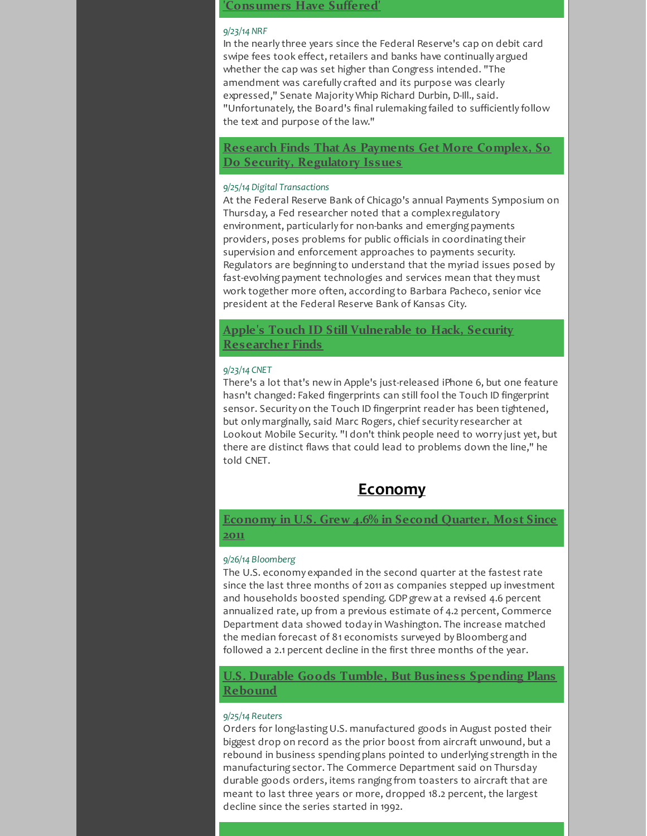# <span id="page-4-1"></span>**'Consumers Have Suffered'**

## *9/23/14 NRF*

In the nearly three years since the Federal Reserve's cap on debit card swipe fees took effect, retailers and banks have continually argued whether the cap was set higher than Congress intended. "The amendment was carefully crafted and its purpose was clearly expressed," Senate Majority Whip Richard Durbin, D-Ill., said. "Unfortunately, the Board's final rulemaking failed to sufficiently follow the text and purpose of the law."

**Research Finds That As Payments Get More Complex, So Do Security, [Regulatory](http://r20.rs6.net/tn.jsp?f=001G1ARuxCIMEYL8pdAKc0bBTnSSsvoOMiOQ8sb8UiTaL_YzORZfLI7bo27y3AogNv6FsQlEHe2nc-cqWvzKrFdOJ0Fr_5-LTdE3nM3vQw0aqFQUDYnhgq5I0WIDhNwCDs-L5LB2hMmuVmdHazqzWDmp-Emx0sMZNolE2lQ4X_NEPkMU6sK5r8V1DNGw6YmOKAPVHl9bCIHfhTv_lRimPS5uQebqb4dffw-woE0e3yleU5gNlqO1GUDGdWZKb1vvWtunn93SaPOLJ9JvS8DF9zx7_HiUGx-wf0I98gOrieB_J8ZBZCPSktWigYG0U22tgkdrlATh7FXbxzCCHrLTK-yD_gERTrehQ9Bwd0pma7PoBn_hF472PDdeoJl8zY4MvOMKawnJS6GjUKWwea2gYTWqvcU3lvQlHuJa50mI7HfbKAn4GXXWtSqoIV2zCdIr_rsEiFTOs7BuwtIlIBX6ehYsg==&c=&ch=) Issues**

## *9/25/14 Digital Transactions*

At the Federal Reserve Bank of Chicago's annual Payments Symposium on Thursday, a Fed researcher noted that a complexregulatory environment, particularly for non-banks and emerging payments providers, poses problems for public officials in coordinating their supervision and enforcement approaches to payments security. Regulators are beginning to understand that the myriad issues posed by fast-evolving payment technologies and services mean that they must work together more often, according to Barbara Pacheco, senior vice president at the Federal Reserve Bank of Kansas City.

**Apple's Touch ID Still Vulnerable to Hack, Security [Researcher](http://r20.rs6.net/tn.jsp?f=001G1ARuxCIMEYL8pdAKc0bBTnSSsvoOMiOQ8sb8UiTaL_YzORZfLI7bo27y3AogNv6IB0YiQx_zH50PPArnCeeMVOzDl0_m72R_F_BrjTWM5vNMOOzSW6omZzklOZ5O8JOg2HxLrm-66zE1E-VGVqOxc-ALLTS2wT_esbikl0OSeTRO0NW7I4F4ZloWSTflkqkhKX2Rr8B2YeB_8-Fd-FTalemLdC0MlK1o9C_hXaRXbWSO2OWWYI-x87h-UAc5PdZweFIB83C9ZJGX9_zUGpC536q_09ns0pP3HlLWEMLJpXo90-Y2l-GvRw7Q7Hz8DrJ4mOm43DtX9JDgGeErHrPpieMe1n-cKAasXKUHi0-RKDh1NSNaggztxuOXRJgLz4wi5-l8tbSJoAX_kkYheUdIkv3I9cBg6TVzF6sH8GjLdE=&c=&ch=) Finds**

#### *9/23/14 CNET*

There's a lot that's new in Apple's just-released iPhone 6, but one feature hasn't changed: Faked fingerprints can still fool the Touch ID fingerprint sensor. Security on the Touch ID fingerprint reader has been tightened, but only marginally, said Marc Rogers, chief security researcher at Lookout Mobile Security. "I don't think people need to worry just yet, but there are distinct flaws that could lead to problems down the line," he told CNET.

# <span id="page-4-0"></span>**Economy**

# <span id="page-4-2"></span>**[Economy](http://r20.rs6.net/tn.jsp?f=001G1ARuxCIMEYL8pdAKc0bBTnSSsvoOMiOQ8sb8UiTaL_YzORZfLI7bo27y3AogNv6fDb6C2h3fbdgz_c199K-QLTuccijW5yAPJMeBgyNaN7dS8MKEZ6fvmDFg3gM_YFgaHREp2ijc8BpcgkQDc5t57wkjbdOrMoYyRIrohbUwqwc2IpinYydB4aUbxHYiTvD2gT35Kfet-6DNnktXcZKk-ebWfEYRBVaT7YxvMTTNmGpuxbCppLXNxkWPVVK3cTQwufxf2LHaSPrQfnZgHe6iJT9I1clYsDLbnODQDe9WFOZca14yogvDaTDiE6tC7aeh_SLNGYI5oUPXjq4pOS4FXbzGt4aHcG9wLqCbdFoPfhk-QNx6Pa7PRqz5cTF2J6oQPbA1-NqW37IFrY8aDMIsEJ4-vALA6GvKHKEVb8lvZSW6C8KO3NTBQoCtvpQ45-5&c=&ch=) in U.S. Grew 4.6% in Second Quarter, Most Since 2011**

#### *9/26/14 Bloomberg*

The U.S. economy expanded in the second quarter at the fastest rate since the last three months of 2011 as companies stepped up investment and households boosted spending. GDP grew at a revised 4.6 percent annualized rate, up from a previous estimate of 4.2 percent, Commerce Department data showed today in Washington. The increase matched the median forecast of 81 economists surveyed by Bloomberg and followed a 2.1 percent decline in the first three months of the year.

# **U.S. Durable Goods Tumble, But Business [Spending](http://r20.rs6.net/tn.jsp?f=001G1ARuxCIMEYL8pdAKc0bBTnSSsvoOMiOQ8sb8UiTaL_YzORZfLI7bo27y3AogNv68ssrbptS8FLFClfRYAwLV06id7dZZZbC17_1LUlouy9oeudBtYETHJKtnFqvesJqG_Ia3hmHfQkEbwgUoyF1BUv7qwrZtbcaP_gQm6KvxmvRRMazO-quXp9N8mBnmXjVcgoVbU-mgA7yGblTfRZnGudBsdHd0T9Z6hYf79JZvDlIZ1ArpML5WXXAURGnxH66BOTfBzxeYIcr6_bD8_G1mxYAZRjKn9JFP0QwdeC1eKFzUPKuM-d6kXjKQ53h7SgTKTYrED91ncJ7zFe23jUpQBb_uJ6ZXCrnOMQqqgt0giW2l_6TU4ywmJqWivosOiFO9v4lRgDUM4mvahAvwcctOg0OP7ydxHc6vGBWScSL0o4=&c=&ch=) Plans Rebound**

#### *9/25/14 Reuters*

Orders for long-lastingU.S. manufactured goods in August posted their biggest drop on record as the prior boost from aircraft unwound, but a rebound in business spending plans pointed to underlying strength in the manufacturing sector. The Commerce Department said on Thursday durable goods orders, items ranging from toasters to aircraft that are meant to last three years or more, dropped 18.2 percent, the largest decline since the series started in 1992.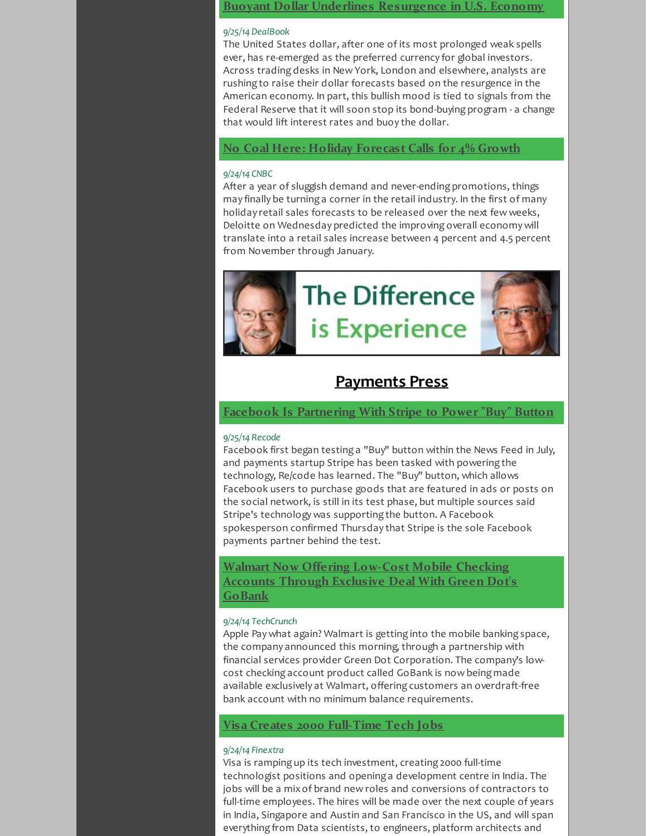## **Buoyant Dollar Underlines [Resurgence](http://r20.rs6.net/tn.jsp?f=001G1ARuxCIMEYL8pdAKc0bBTnSSsvoOMiOQ8sb8UiTaL_YzORZfLI7bo27y3AogNv6RJ-rd0QqTT9V_hWiUWiaN8NN67D23WApP6Rh-Nx4lu1ILER8J8Tg6I4ExI1U0RMhUpZteF5Y5vC9jCzpDPLR2lL_0LLvuaXZ5j4k4VswvQGQEeCUdHnTc5YFjCBtt0mU2upojTCrv12HTsZbr2IJM6G2Zi6jwQX8iZD87o-tcYsKOUgUUBnXn08XCsqO1eMYqdWEmc62Ng_0reRFhS1gmdweIzDDfAfULzD5-JjfH2CBMJIcghKN_DX1s_DyvhrRDbHdU9wsvMAcQT-pT3WSAtSagh4JdWxN0vNNHlZSRv1NKtXLV_9fdIDjpi6tdX9Q0iUAujwpJamYc5_SCdcq-hq0C9ftnRtUJLSSIpFF0Tjr_VfHHFrkQQ==&c=&ch=) in U.S. Economy**

# *9/25/14 DealBook*

The United States dollar, after one of its most prolonged weak spells ever, has re-emerged as the preferred currency for global investors. Across trading desks in New York, London and elsewhere, analysts are rushing to raise their dollar forecasts based on the resurgence in the American economy. In part, this bullish mood is tied to signals from the Federal Reserve that it will soon stop its bond-buying program - a change that would lift interest rates and buoy the dollar.

# **No Coal Here: Holiday [Forecast](http://r20.rs6.net/tn.jsp?f=001G1ARuxCIMEYL8pdAKc0bBTnSSsvoOMiOQ8sb8UiTaL_YzORZfLI7bo27y3AogNv6o85nMa19PziDQU1susc4TjpRWfzO_2fv0Su4xcA5myexmX-440Rpt5qTbhdCp7g6PgCxnEKDyR2jqY4IPA90Q-VCuJDU9UeMoIUiUdXTvKJokfa8oWpv_K6EmedU2b5j6691hSLfeUNbKat0ua7Os-CwMeNv8Ta1wlO93XzQhOru7QfX3OvxeYCdwc5ygerOLylw7RvQNMRa8nkXpvYV6vwyjewOzZ3PrWLfzE7qFe-NNb63rj29h-UwdLMQlN8C5cyBE_9I7UB-37ZoWH8Hxt8Q19PIY_no&c=&ch=) Calls for 4% Growth**

## *9/24/14 CNBC*

After a year of sluggish demand and never-ending promotions, things may finally be turning a corner in the retail industry. In the first of many holiday retail sales forecasts to be released over the next few weeks, Deloitte on Wednesday predicted the improving overall economy will translate into a retail sales increase between 4 percent and 4.5 percent from November through January.



# <span id="page-5-0"></span>**Payments Press**

**Facebook Is [Partnering](http://r20.rs6.net/tn.jsp?f=001G1ARuxCIMEYL8pdAKc0bBTnSSsvoOMiOQ8sb8UiTaL_YzORZfLI7bo27y3AogNv6MbU_z1MgIkZloUgzzC3AI9rPgHO6X_CIBD3Kz8-oNofGL0v5sQlSbTLRZ9hiZ6gwgXNJyEX9wMESYFpiuNYuzwVFC7KRSgWpmhehggM8lgb5X1aDPCnnGuQSPQP0ebSEpL1uW0FBizCQAg7gQxWGrZ_m9gmAk4rsVH9RbDin0rBtxmzSo3vnwsjVu1MmbQEx7hz0-BCz8yy2BEE7GNGOB7OCqDJScv-Im8nv9L-Vo79VUsq4l3foJ5RJHvQ7zzy0ylZvEgMmgltP6Wcn8zB7XRoiexcxYQX0l3xGC5MOIriGPC3w-EaTw7OCSvNlkZ18DDaOfDcvoYclZqQs1y2jp-KGCjgMfQHSoY6fCh3uO-M=&c=&ch=) With Stripe to Power "Buy" Button**

## *9/25/14 Recode*

Facebook first began testing a "Buy" button within the News Feed in July, and payments startup Stripe has been tasked with powering the technology, Re/code has learned. The "Buy" button, which allows Facebook users to purchase goods that are featured in ads or posts on the social network, is still in its test phase, but multiple sources said Stripe's technology was supporting the button. A Facebook spokesperson confirmed Thursday that Stripe is the sole Facebook payments partner behind the test.

**Walmart Now Offering [Low-Cost](http://r20.rs6.net/tn.jsp?f=001G1ARuxCIMEYL8pdAKc0bBTnSSsvoOMiOQ8sb8UiTaL_YzORZfLI7bo27y3AogNv6u6UiDTl--dc57mLad3-djkCp4tMh-bjY_056zVcv9ZNjHrNQdY2C1ENEEAYCmcHxscbjlNAfZQXgGkN6LHTpbhvxFu9CKIC4I5DeF0DxdhUXrkdqj0u7I16E7tpRZnaBrTJW438wiKjsDpFmHBjs-aAKkZ1iLNdWEen-9asqY-AMnFjz2wfaXYzCMZhIs74nwkcAeONI7XuX52IFUSm9Qfkxjwk8H5q16yng145OJ6qcBW92JYTiEL9Ou-bv4WrhlQeyfP80R8Z9uYoEuo6tP8I7g2MXM88zB3D_3Hnz3ARW56nY6T7O47s475uGNuTrKv4k3mxd_Kp7XWcv3Kkfu-rh91v6CY-RhJP-yD1H3tX6qbUTSCVFxmIdyB0p6ydPA0XujY_SfbDJ3lRjVcAKuNse6SXT0yzrJyTn0cuhcsY=&c=&ch=) Mobile Checking Accounts Through Exclusive Deal With Green Dot's GoBank**

## *9/24/14 TechCrunch*

Apple Pay what again? Walmart is getting into the mobile banking space, the company announced this morning, through a partnership with financial services provider Green Dot Corporation. The company's lowcost checking account product called GoBank is now being made available exclusively at Walmart, offering customers an overdraft-free bank account with no minimum balance requirements.

# **Visa Creates 2000 [Full-Time](http://r20.rs6.net/tn.jsp?f=001G1ARuxCIMEYL8pdAKc0bBTnSSsvoOMiOQ8sb8UiTaL_YzORZfLI7bo27y3AogNv6moGIK6rfMyOjesRifXsFAaneC32IcOLxff824exnEpyqHCy34HoKcPt7X-KvDvyWZtKXlsXWC6XK2pF1u4KeYQUMids7x2S-e252qkZm5xLLuf6UYHN5nZNurhVn0J51nnlLVlCmJR821kDnUKfUtiL42vLTIXTTQmtYRvBoty6gfWrBzwM23zLA6rM0myJsMFMH1BlqA9J-SpG1U1oimbYVcFgfrPg1Rvmc7k82dd1oDKYBwnsiFVSs_jhbzkVk9Wq864gjdRn3PcmZHtlSMzN82-gSleOoV3728UEEv9YhyRNWw4Ban30dlf9uP71WCp69QWbXkoo=&c=&ch=) Tech Jobs**

## *9/24/14 Finextra*

Visa is ramping up its tech investment, creating 2000 full-time technologist positions and opening a development centre in India. The jobs will be a mixof brand new roles and conversions of contractors to full-time employees. The hires will be made over the next couple of years in India, Singapore and Austin and San Francisco in the US, and will span everything from Data scientists, to engineers, platform architects and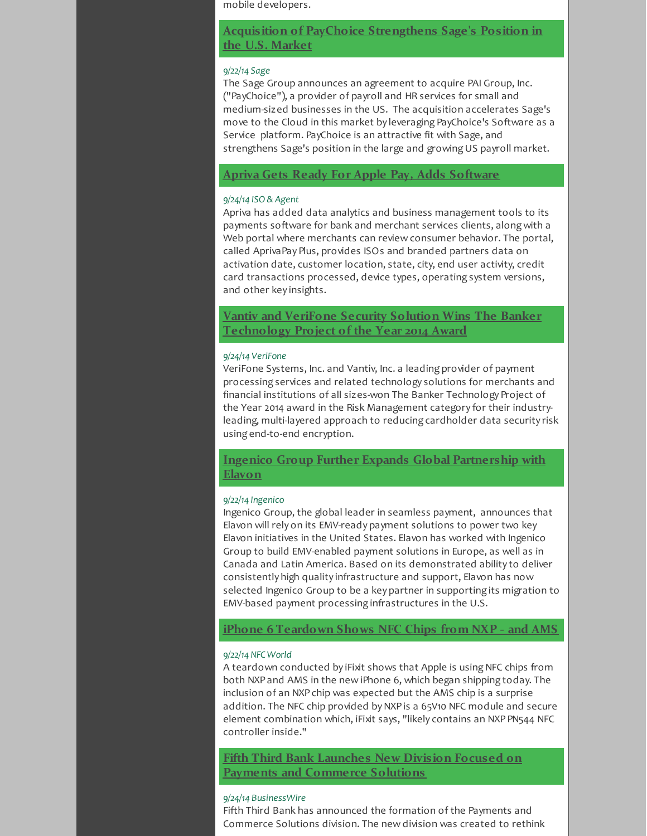mobile developers.

**Acquisition of PayChoice [Strengthens](http://r20.rs6.net/tn.jsp?f=001G1ARuxCIMEYL8pdAKc0bBTnSSsvoOMiOQ8sb8UiTaL_YzORZfLI7bo27y3AogNv6jdNaDjBuVpNfTla5WFM03pcAhbPqKBsMwyZVBD53-OdalZ939w6ELe_nUaiU-9Lb4wtzzIpkrI8QTY8wgv8KwGdNsYTmQlrIdtroQ1Xw1IyPu-FypYtHUJMoMlVQlX8VzJqhqwtYD3D9DhJqyXAg4Z9oPDvUrVbZ9jHgvi53OO6YmuqPhz2kfqXnl2f_Hz2SKf0EmWNQOJKhS2dyCYgIDIgiFRXRqep1Ax_4hiFklDfIFGxZMMrR6D1I3KK1PyBm54KExKaRHbWTu3kxP-8HYB4Sl93Kpj3BjJSwU-DDTwghJfnR_5rBhIo_YGz92SxBq2uJn18MDzZg6hziGNjagZjBHseAmLFU&c=&ch=) Sage's Position in the U.S. Market**

#### *9/22/14 Sage*

The Sage Group announces an agreement to acquire PAI Group, Inc. ("PayChoice"), a provider of payroll and HR services for small and medium-sized businesses in the US. The acquisition accelerates Sage's move to the Cloud in this market by leveraging PayChoice's Software as a Service platform. PayChoice is an attractive fit with Sage, and strengthens Sage's position in the large and growing US payroll market.

# **Apriva Gets Ready For Apple Pay, Adds [Software](http://r20.rs6.net/tn.jsp?f=001G1ARuxCIMEYL8pdAKc0bBTnSSsvoOMiOQ8sb8UiTaL_YzORZfLI7bo27y3AogNv6ilYVUkGf2WJ-qY5Ba1-ml8KtdQG8ndxpgYzpDn7dHcdEezIqAvVrGoICyA5nwVLuP7ofGVauv6emGSvYQGuHOIDJCKFQVpvhua4M3C8ngRsY4JXM0lP8PYtOwphZXKI7r7tDnY6gZn7ngxM8GQGiMPrJJhwLb9wXZP52o0ICtkOekiQHGcJ_9cp7pbEhvOZhfZJhYzDFQsOsqIJ53SMiaznr_66JGUzH0-XBTQZCq1k1nSOSi76RwKeYVaMUvtRCLD5t_eIyOVzv7ITh10D05-ifsMr_Iqb9w7avG5uSSwZJIF-GFoigE_fN3vc5z_7rcEXWzAfvvuo4vpwnigEinyE3xH7sNEAOG0PKpLRnY3YrMkP3eR60EXO2nNVmxEesumG6WjvYmxU=&c=&ch=)**

#### *9/24/14 ISO & Agent*

Apriva has added data analytics and business management tools to its payments software for bank and merchant services clients, along with a Web portal where merchants can review consumer behavior. The portal, called AprivaPay Plus, provides ISOs and branded partners data on activation date, customer location, state, city, end user activity, credit card transactions processed, device types, operating system versions, and other key insights.

**Vantiv and VeriFone Security Solution Wins The Banker [Technology](http://r20.rs6.net/tn.jsp?f=001G1ARuxCIMEYL8pdAKc0bBTnSSsvoOMiOQ8sb8UiTaL_YzORZfLI7bo27y3AogNv6J6A6OCKAQvKZUwDWlgJ98bYFStgb6Ql8FtLiYOqNUpIaxfpHgTjse4rsoQDEbEKGyqCyvY_GofrHkGGkQ6bvRXOLX4pc1_iffywnFPYc9dJ8yNfjpoU2rgmVmpa1xHWLanp8NnghpOFMXjXAaW-ua2troA8u9DYfhpclQL2xOJGCAjsChu1je2L-I7KNE9Vg_jE9QqCMinmnGX3koSOVYbiHtJaCuXCI7s1-tULFWQ_pMx-mkVv3irUg4Vz_PlT280d2vSXGp5EsY71dJxgMZrODyMgdtcu5jGM_ZHBffsK8J_Bhoa487-Pf9ljd5Sqf5vVHWVeUJDw_Gos2kViabChAMOK3uWY9FPyzRiGKoZMXSftmqJSoPg==&c=&ch=) Project of the Year 2014 Award**

#### *9/24/14 VeriFone*

VeriFone Systems, Inc. and Vantiv, Inc. a leading provider of payment processing services and related technology solutions for merchants and financial institutions of all sizes-won The Banker Technology Project of the Year 2014 award in the Risk Management category for their industryleading, multi-layered approach to reducing cardholder data security risk using end-to-end encryption.

# **Ingenico Group Further Expands Global [Partnership](http://r20.rs6.net/tn.jsp?f=001G1ARuxCIMEYL8pdAKc0bBTnSSsvoOMiOQ8sb8UiTaL_YzORZfLI7bo27y3AogNv6tJdq19tPUedCHELTTnY_k0Kq1pSZTjgK9E4owKlrYSkMNW9qqP6_e1Jxk5cMX1Io1feLkpi60tJz7Qa9FoUvQ2Ag8Xbli54tHYgF-mwOJnPnte0K0b9oN6-PpNoo0qL79AvgH_s1b_LwgSqex-mmh8j1ATdZYPSc8CphwEImkvciqpFM9s21NJ33vGLZnS6RVBc_nwcREFMO-K_sBHaSlg0mNMl3NGyO1L8XM8CX-Czkxp9uYcMYnECYdLToniS3fvhX-OfRjWHLTuapKr4UxLXoxSjckNmFAtbO1fO3asLM--PIrL6_Los73mk2u95oxVXfEbsv-pGBCFazyC4c4A_KOVUXOAWKlPC91HdS0CyvGU-1QXGYJWGofuffz1rIMxJP2fTNWFAR37DLrVdWOZRyQ7pLd1NQ&c=&ch=) with Elavon**

#### *9/22/14 Ingenico*

Ingenico Group, the global leader in seamless payment, announces that Elavon will rely on its EMV-ready payment solutions to power two key Elavon initiatives in the United States. Elavon has worked with Ingenico Group to build EMV-enabled payment solutions in Europe, as well as in Canada and Latin America. Based on its demonstrated ability to deliver consistently high quality infrastructure and support, Elavon has now selected Ingenico Group to be a key partner in supporting its migration to EMV-based payment processing infrastructures in the U.S.

## **iPhone 6 [Teardown](http://r20.rs6.net/tn.jsp?f=001G1ARuxCIMEYL8pdAKc0bBTnSSsvoOMiOQ8sb8UiTaL_YzORZfLI7bo27y3AogNv6qn_4KSzi0B5JYf3cK0DZbIRf0x2dC2gwFFH_ffYqDEtnbbc424Fk8AQgiOJ5VdGu-pSqvDXF6gicEPrRUDsA46TeKvUXJ70fn7NCtB70QkN1foqT0R5x_QwpwZnuB2UYu5zjDuK6coxmYk3Ei02g7tADm1G509N8PDtR4NhfkYF8NjjDkspfIEP6SJOyk51c-TKOFLfhIZouVmaJKMfhFn7LFF7bkVSVBRt3xsInkYWP5-P0pVdugKA-sFQJwyg2b3IYg0aEenY3FTjb6Rr0oKJS5EbMEQrNv9LhtvYzLRHhgiew261bNUAvBoOGq8xELq9g0oK-PWgAizIaskmjU2NRuq-Priger3Ae0W7w0UU=&c=&ch=) Shows NFC Chips from NXP - and AMS**

#### *9/22/14 NFC World*

A teardown conducted by iFixit shows that Apple is using NFC chips from both NXP and AMS in the new iPhone 6, which began shipping today. The inclusion of an NXP chip was expected but the AMS chip is a surprise addition. The NFC chip provided by NXP is a 65V10 NFC module and secure element combination which, iFixit says, "likely contains an NXP PN544 NFC controller inside."

**Fifth Third Bank Launches New Division Focused on Payments and [Commerce](http://r20.rs6.net/tn.jsp?f=001G1ARuxCIMEYL8pdAKc0bBTnSSsvoOMiOQ8sb8UiTaL_YzORZfLI7bo27y3AogNv6C6TXchaJkxNamXZUrl-zipBU3W_OEwBYjhnqBDN0wqrlDRYvH4mT3Xbcqd6nJxNUHkwish-ulE_40md7g-GGtLXToqwp3KHODEmz1mtis0PJ970_Qv26r0a9VbsAvOXCneTETwkPKmoP3klem34qJier5kmtPSUr3pX3WgAC_o2h7wA8z2triBt6M5f0tQadU0_Vrnc4BRQBwmf66pb6kcc8F7snpbDdGqYVW99ly_ZrQPqZ8bceDpstjw7XT1gLkPA7Z3X0rlQp5TyDDbSNtiWryxU8J6tyCALnnah5-cuJtqDd6xxS_DO3FqKjpwN16MsPA-T32CuTp5YRTNr6iMIPvK50Z8ecQCgDSFl6qO290hCVGeNJXht5h0Ue1vtjJamOiIktYVI-0Z9OhcYqS5av7Br-feu_&c=&ch=) Solutions**

#### *9/24/14 BusinessWire*

Fifth Third Bank has announced the formation of the Payments and Commerce Solutions division. The new division was created to rethink